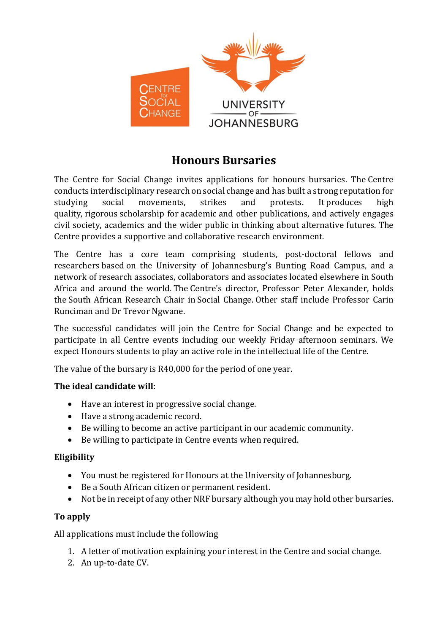

## **Honours Bursaries**

The Centre for Social Change invites applications for honours bursaries. The Centre conducts interdisciplinary research on social change and has built a strong reputation for studying social movements, strikes and protests. It produces high quality, rigorous scholarship for academic and other publications, and actively engages civil society, academics and the wider public in thinking about alternative futures. The Centre provides a supportive and collaborative research environment.

The Centre has a core team comprising students, post-doctoral fellows and researchers based on the University of Johannesburg's Bunting Road Campus, and a network of research associates, collaborators and associates located elsewhere in South Africa and around the world. The Centre's director, Professor Peter Alexander, holds the South African Research Chair in Social Change. Other staff include Professor Carin Runciman and Dr Trevor Ngwane.

The successful candidates will join the Centre for Social Change and be expected to participate in all Centre events including our weekly Friday afternoon seminars. We expect Honours students to play an active role in the intellectual life of the Centre.

The value of the bursary is R40,000 for the period of one year.

## **The ideal candidate will**:

- Have an interest in progressive social change.
- Have a strong academic record.
- Be willing to become an active participant in our academic community.
- Be willing to participate in Centre events when required.

## **Eligibility**

- You must be registered for Honours at the University of Johannesburg.
- Be a South African citizen or permanent resident.
- Not be in receipt of any other NRF bursary although you may hold other bursaries.

## **To apply**

All applications must include the following

- 1. A letter of motivation explaining your interest in the Centre and social change.
- 2. An up-to-date CV.